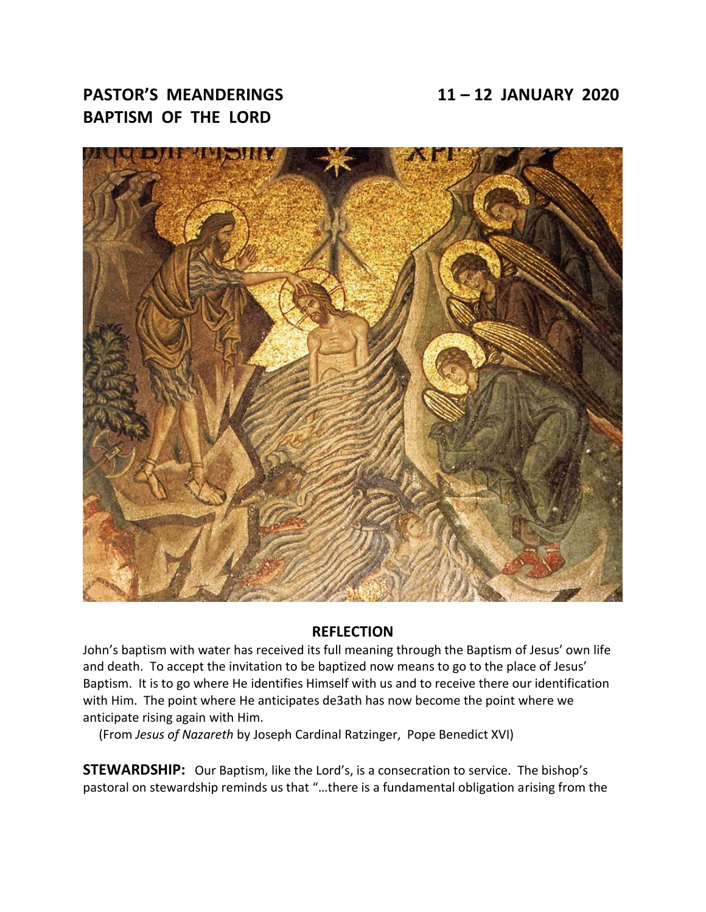# **PASTOR'S MEANDERINGS 11 – 12 JANUARY 2020 BAPTISM OF THE LORD**



#### **REFLECTION**

John's baptism with water has received its full meaning through the Baptism of Jesus' own life and death. To accept the invitation to be baptized now means to go to the place of Jesus' Baptism. It is to go where He identifies Himself with us and to receive there our identification with Him. The point where He anticipates de3ath has now become the point where we anticipate rising again with Him.

(From *Jesus of Nazareth* by Joseph Cardinal Ratzinger, Pope Benedict XVI)

**STEWARDSHIP:** Our Baptism, like the Lord's, is a consecration to service. The bishop's pastoral on stewardship reminds us that "…there is a fundamental obligation arising from the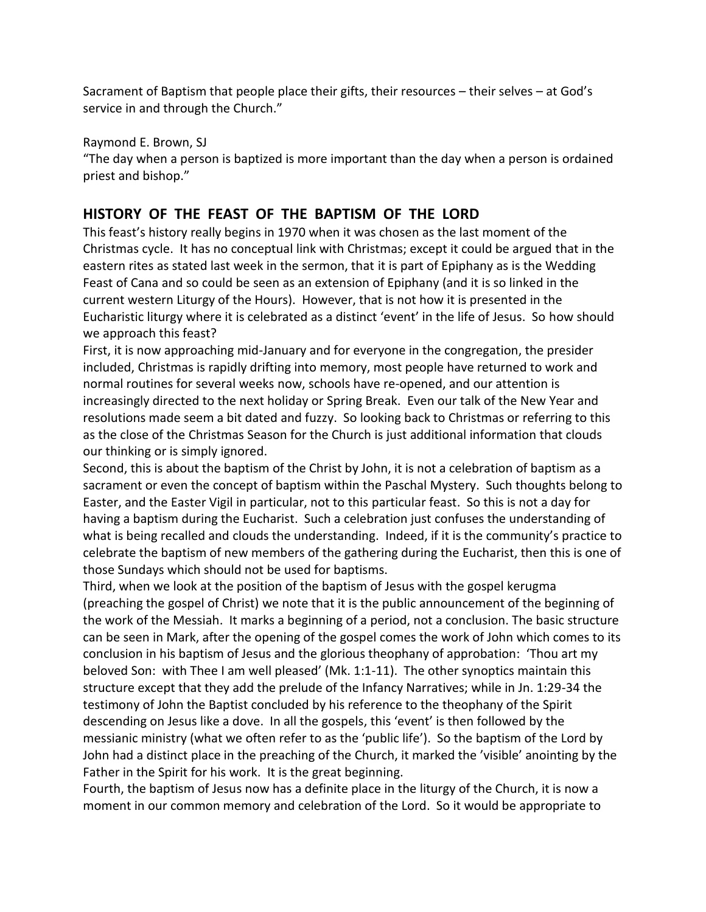Sacrament of Baptism that people place their gifts, their resources – their selves – at God's service in and through the Church."

Raymond E. Brown, SJ

"The day when a person is baptized is more important than the day when a person is ordained priest and bishop."

# **HISTORY OF THE FEAST OF THE BAPTISM OF THE LORD**

This feast's history really begins in 1970 when it was chosen as the last moment of the Christmas cycle. It has no conceptual link with Christmas; except it could be argued that in the eastern rites as stated last week in the sermon, that it is part of Epiphany as is the Wedding Feast of Cana and so could be seen as an extension of Epiphany (and it is so linked in the current western Liturgy of the Hours). However, that is not how it is presented in the Eucharistic liturgy where it is celebrated as a distinct 'event' in the life of Jesus. So how should we approach this feast?

First, it is now approaching mid-January and for everyone in the congregation, the presider included, Christmas is rapidly drifting into memory, most people have returned to work and normal routines for several weeks now, schools have re-opened, and our attention is increasingly directed to the next holiday or Spring Break. Even our talk of the New Year and resolutions made seem a bit dated and fuzzy. So looking back to Christmas or referring to this as the close of the Christmas Season for the Church is just additional information that clouds our thinking or is simply ignored.

Second, this is about the baptism of the Christ by John, it is not a celebration of baptism as a sacrament or even the concept of baptism within the Paschal Mystery. Such thoughts belong to Easter, and the Easter Vigil in particular, not to this particular feast. So this is not a day for having a baptism during the Eucharist. Such a celebration just confuses the understanding of what is being recalled and clouds the understanding. Indeed, if it is the community's practice to celebrate the baptism of new members of the gathering during the Eucharist, then this is one of those Sundays which should not be used for baptisms.

Third, when we look at the position of the baptism of Jesus with the gospel kerugma (preaching the gospel of Christ) we note that it is the public announcement of the beginning of the work of the Messiah. It marks a beginning of a period, not a conclusion. The basic structure can be seen in Mark, after the opening of the gospel comes the work of John which comes to its conclusion in his baptism of Jesus and the glorious theophany of approbation: 'Thou art my beloved Son: with Thee I am well pleased' (Mk. 1:1-11). The other synoptics maintain this structure except that they add the prelude of the Infancy Narratives; while in Jn. 1:29-34 the testimony of John the Baptist concluded by his reference to the theophany of the Spirit descending on Jesus like a dove. In all the gospels, this 'event' is then followed by the messianic ministry (what we often refer to as the 'public life'). So the baptism of the Lord by John had a distinct place in the preaching of the Church, it marked the 'visible' anointing by the Father in the Spirit for his work. It is the great beginning.

Fourth, the baptism of Jesus now has a definite place in the liturgy of the Church, it is now a moment in our common memory and celebration of the Lord. So it would be appropriate to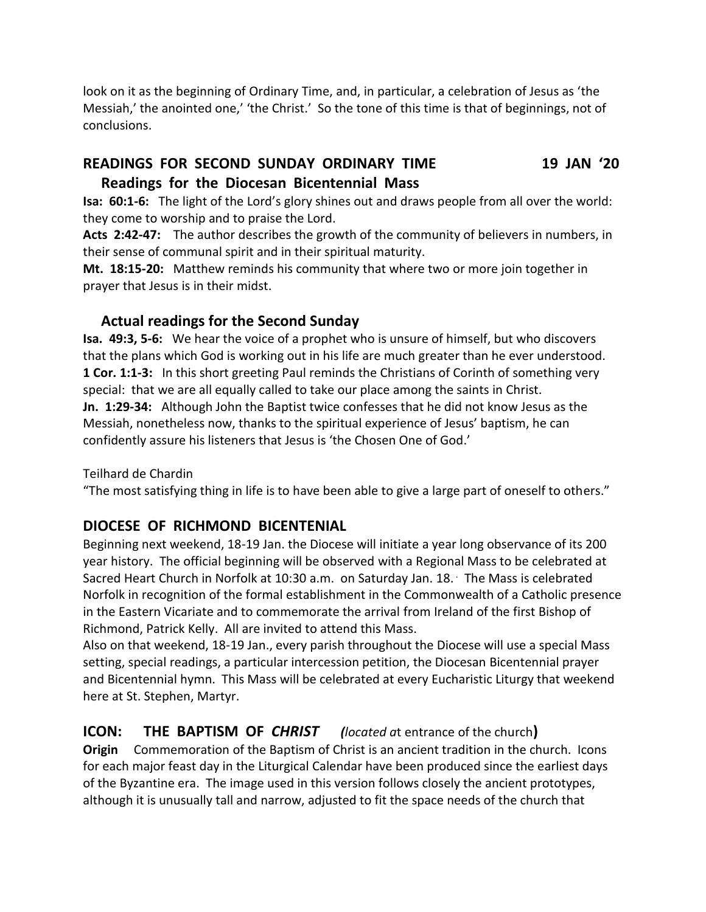look on it as the beginning of Ordinary Time, and, in particular, a celebration of Jesus as 'the Messiah,' the anointed one,' 'the Christ.' So the tone of this time is that of beginnings, not of conclusions.

### **READINGS FOR SECOND SUNDAY ORDINARY TIME 19 JAN '20**

#### **Readings for the Diocesan Bicentennial Mass**

**Isa: 60:1-6:** The light of the Lord's glory shines out and draws people from all over the world: they come to worship and to praise the Lord.

**Acts 2:42-47:** The author describes the growth of the community of believers in numbers, in their sense of communal spirit and in their spiritual maturity.

**Mt. 18:15-20:** Matthew reminds his community that where two or more join together in prayer that Jesus is in their midst.

### **Actual readings for the Second Sunday**

**Isa. 49:3, 5-6:** We hear the voice of a prophet who is unsure of himself, but who discovers that the plans which God is working out in his life are much greater than he ever understood. **1 Cor. 1:1-3:** In this short greeting Paul reminds the Christians of Corinth of something very special: that we are all equally called to take our place among the saints in Christ. **Jn. 1:29-34:** Although John the Baptist twice confesses that he did not know Jesus as the Messiah, nonetheless now, thanks to the spiritual experience of Jesus' baptism, he can confidently assure his listeners that Jesus is 'the Chosen One of God.'

Teilhard de Chardin

"The most satisfying thing in life is to have been able to give a large part of oneself to others."

### **DIOCESE OF RICHMOND BICENTENIAL**

Beginning next weekend, 18-19 Jan. the Diocese will initiate a year long observance of its 200 year history. The official beginning will be observed with a Regional Mass to be celebrated at Sacred Heart Church in Norfolk at 10:30 a.m. on Saturday Jan. 18. The Mass is celebrated Norfolk in recognition of the formal establishment in the Commonwealth of a Catholic presence in the Eastern Vicariate and to commemorate the arrival from Ireland of the first Bishop of Richmond, Patrick Kelly. All are invited to attend this Mass.

Also on that weekend, 18-19 Jan., every parish throughout the Diocese will use a special Mass setting, special readings, a particular intercession petition, the Diocesan Bicentennial prayer and Bicentennial hymn. This Mass will be celebrated at every Eucharistic Liturgy that weekend here at St. Stephen, Martyr.

**ICON: THE BAPTISM OF** *CHRIST (located a*t entrance of the church**) Origin** Commemoration of the Baptism of Christ is an ancient tradition in the church. Icons for each major feast day in the Liturgical Calendar have been produced since the earliest days of the Byzantine era. The image used in this version follows closely the ancient prototypes, although it is unusually tall and narrow, adjusted to fit the space needs of the church that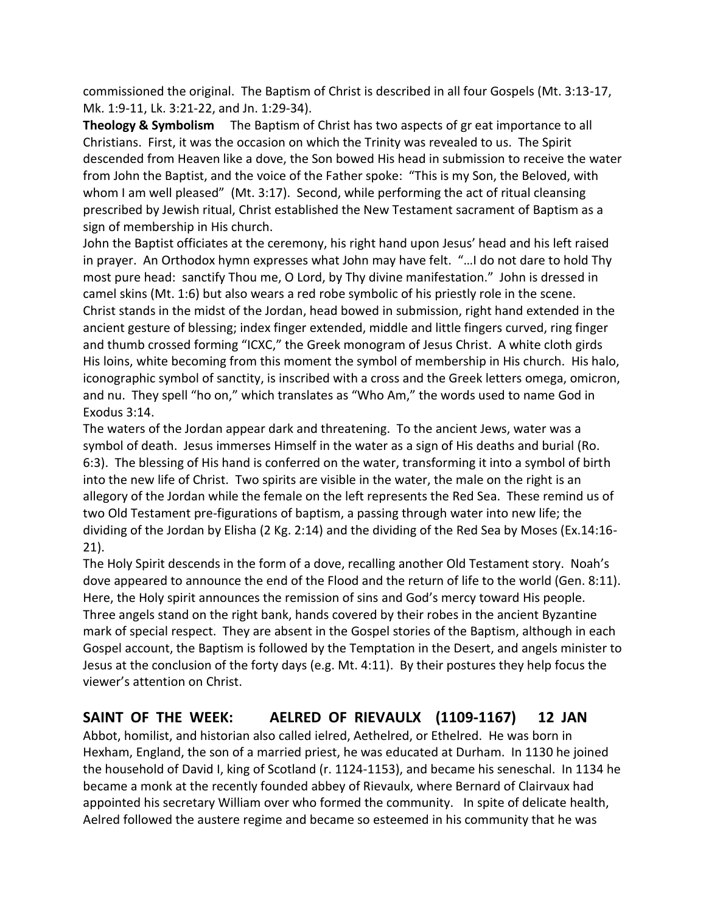commissioned the original. The Baptism of Christ is described in all four Gospels (Mt. 3:13-17, Mk. 1:9-11, Lk. 3:21-22, and Jn. 1:29-34).

**Theology & Symbolism** The Baptism of Christ has two aspects of gr eat importance to all Christians. First, it was the occasion on which the Trinity was revealed to us. The Spirit descended from Heaven like a dove, the Son bowed His head in submission to receive the water from John the Baptist, and the voice of the Father spoke: "This is my Son, the Beloved, with whom I am well pleased" (Mt. 3:17). Second, while performing the act of ritual cleansing prescribed by Jewish ritual, Christ established the New Testament sacrament of Baptism as a sign of membership in His church.

John the Baptist officiates at the ceremony, his right hand upon Jesus' head and his left raised in prayer. An Orthodox hymn expresses what John may have felt. "…I do not dare to hold Thy most pure head: sanctify Thou me, O Lord, by Thy divine manifestation." John is dressed in camel skins (Mt. 1:6) but also wears a red robe symbolic of his priestly role in the scene. Christ stands in the midst of the Jordan, head bowed in submission, right hand extended in the ancient gesture of blessing; index finger extended, middle and little fingers curved, ring finger and thumb crossed forming "ICXC," the Greek monogram of Jesus Christ. A white cloth girds His loins, white becoming from this moment the symbol of membership in His church. His halo, iconographic symbol of sanctity, is inscribed with a cross and the Greek letters omega, omicron, and nu. They spell "ho on," which translates as "Who Am," the words used to name God in Exodus 3:14.

The waters of the Jordan appear dark and threatening. To the ancient Jews, water was a symbol of death. Jesus immerses Himself in the water as a sign of His deaths and burial (Ro. 6:3). The blessing of His hand is conferred on the water, transforming it into a symbol of birth into the new life of Christ. Two spirits are visible in the water, the male on the right is an allegory of the Jordan while the female on the left represents the Red Sea. These remind us of two Old Testament pre-figurations of baptism, a passing through water into new life; the dividing of the Jordan by Elisha (2 Kg. 2:14) and the dividing of the Red Sea by Moses (Ex.14:16- 21).

The Holy Spirit descends in the form of a dove, recalling another Old Testament story. Noah's dove appeared to announce the end of the Flood and the return of life to the world (Gen. 8:11). Here, the Holy spirit announces the remission of sins and God's mercy toward His people. Three angels stand on the right bank, hands covered by their robes in the ancient Byzantine mark of special respect. They are absent in the Gospel stories of the Baptism, although in each Gospel account, the Baptism is followed by the Temptation in the Desert, and angels minister to Jesus at the conclusion of the forty days (e.g. Mt. 4:11). By their postures they help focus the viewer's attention on Christ.

# **SAINT OF THE WEEK: AELRED OF RIEVAULX (1109-1167) 12 JAN**

Abbot, homilist, and historian also called ielred, Aethelred, or Ethelred. He was born in Hexham, England, the son of a married priest, he was educated at Durham. In 1130 he joined the household of David I, king of Scotland (r. 1124-1153), and became his seneschal. In 1134 he became a monk at the recently founded abbey of Rievaulx, where Bernard of Clairvaux had appointed his secretary William over who formed the community. In spite of delicate health, Aelred followed the austere regime and became so esteemed in his community that he was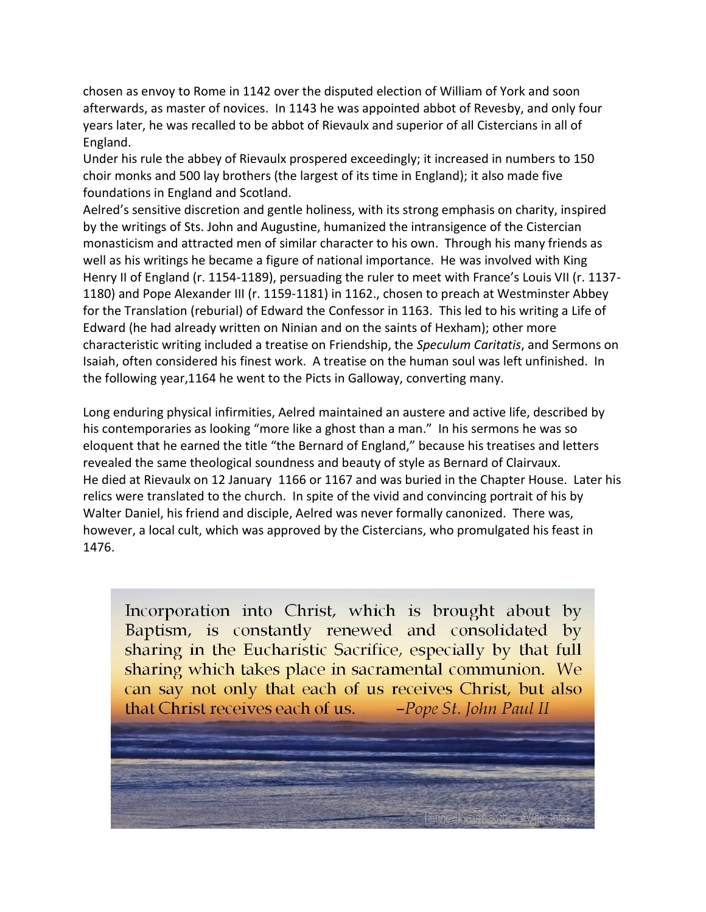chosen as envoy to Rome in 1142 over the disputed election of William of York and soon afterwards, as master of novices. In 1143 he was appointed abbot of Revesby, and only four years later, he was recalled to be abbot of Rievaulx and superior of all Cistercians in all of England.

Under his rule the abbey of Rievaulx prospered exceedingly; it increased in numbers to 150 choir monks and 500 lay brothers (the largest of its time in England); it also made five foundations in England and Scotland.

Aelred's sensitive discretion and gentle holiness, with its strong emphasis on charity, inspired by the writings of Sts. John and Augustine, humanized the intransigence of the Cistercian monasticism and attracted men of similar character to his own. Through his many friends as well as his writings he became a figure of national importance. He was involved with King Henry II of England (r. 1154-1189), persuading the ruler to meet with France's Louis VII (r. 1137- 1180) and Pope Alexander III (r. 1159-1181) in 1162., chosen to preach at Westminster Abbey for the Translation (reburial) of Edward the Confessor in 1163. This led to his writing a Life of Edward (he had already written on Ninian and on the saints of Hexham); other more characteristic writing included a treatise on Friendship, the *Speculum Caritatis*, and Sermons on Isaiah, often considered his finest work. A treatise on the human soul was left unfinished. In the following year,1164 he went to the Picts in Galloway, converting many.

Long enduring physical infirmities, Aelred maintained an austere and active life, described by his contemporaries as looking "more like a ghost than a man." In his sermons he was so eloquent that he earned the title "the Bernard of England," because his treatises and letters revealed the same theological soundness and beauty of style as Bernard of Clairvaux. He died at Rievaulx on 12 January 1166 or 1167 and was buried in the Chapter House. Later his relics were translated to the church. In spite of the vivid and convincing portrait of his by Walter Daniel, his friend and disciple, Aelred was never formally canonized. There was, however, a local cult, which was approved by the Cistercians, who promulgated his feast in 1476.

Incorporation into Christ, which is brought about by Baptism, is constantly renewed and consolidated by sharing in the Eucharistic Sacrifice, especially by that full sharing which takes place in sacramental communion. We can say not only that each of us receives Christ, but also -Pope St. John Paul II that Christ receives each of us.